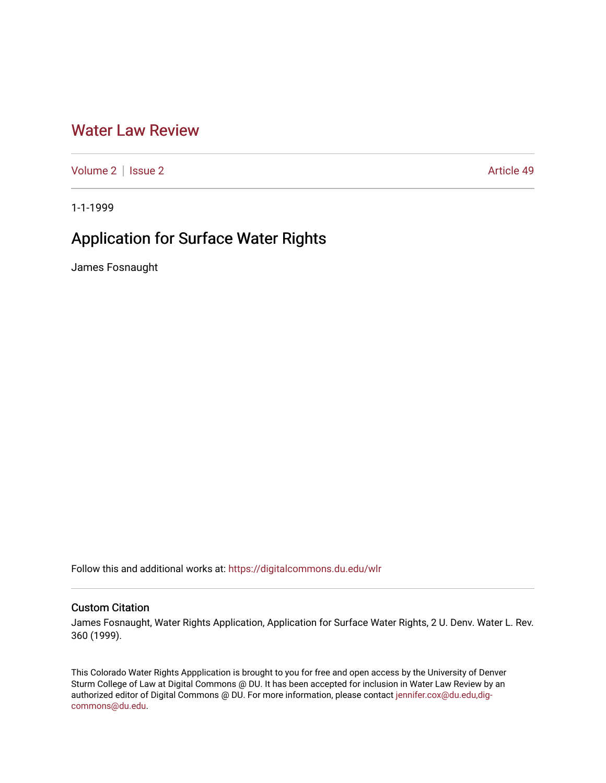## [Water Law Review](https://digitalcommons.du.edu/wlr)

[Volume 2](https://digitalcommons.du.edu/wlr/vol2) | [Issue 2](https://digitalcommons.du.edu/wlr/vol2/iss2) Article 49

1-1-1999

# Application for Surface Water Rights

James Fosnaught

Follow this and additional works at: [https://digitalcommons.du.edu/wlr](https://digitalcommons.du.edu/wlr?utm_source=digitalcommons.du.edu%2Fwlr%2Fvol2%2Fiss2%2F49&utm_medium=PDF&utm_campaign=PDFCoverPages) 

### Custom Citation

James Fosnaught, Water Rights Application, Application for Surface Water Rights, 2 U. Denv. Water L. Rev. 360 (1999).

This Colorado Water Rights Appplication is brought to you for free and open access by the University of Denver Sturm College of Law at Digital Commons @ DU. It has been accepted for inclusion in Water Law Review by an authorized editor of Digital Commons @ DU. For more information, please contact [jennifer.cox@du.edu,dig](mailto:jennifer.cox@du.edu,dig-commons@du.edu)[commons@du.edu.](mailto:jennifer.cox@du.edu,dig-commons@du.edu)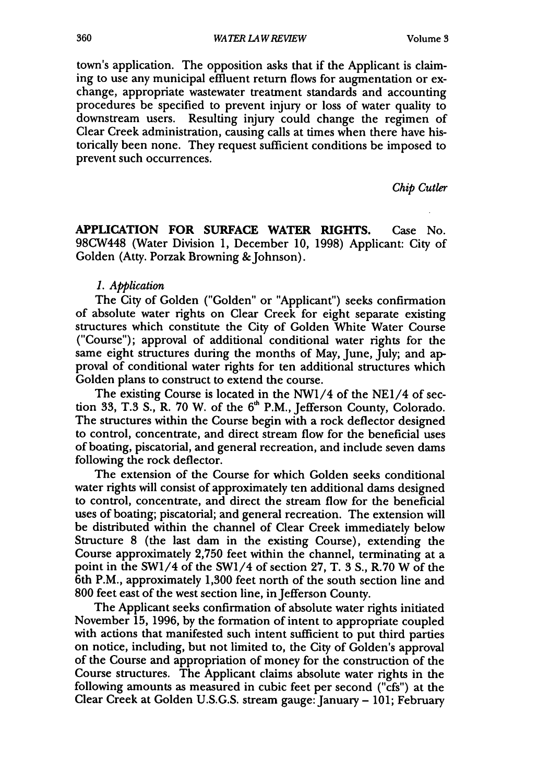town's application. The opposition asks that if the Applicant is claiming to use any municipal effluent return flows for augmentation or exchange, appropriate wastewater treatment standards and accounting procedures be specified to prevent injury or loss of water quality to downstream users. Resulting injury could change the regimen of Clear Creek administration, causing calls at times when there have historically been none. They request sufficient conditions be imposed to prevent such occurrences.

*Chip Cutler*

**APPLICATION** FOR **SURFACE** WATER RIGHTS. Case No. 98CW448 (Water Division **1,** December **10, 1998)** Applicant: City of Golden (Atty. Porzak Browning & Johnson).

#### *1. Application*

The City of Golden ("Golden" or "Applicant") seeks confirmation of absolute water rights on Clear Creek for eight separate existing structures which constitute the City of Golden White Water Course ("Course"); approval of additional conditional water rights for the same eight structures during the months of May, June, July; and approval of conditional water rights for ten additional structures which Golden plans to construct to extend the course.

The existing Course is located in the NWI/4 of the **NE1/4** of section **33, T.3 S.,** R. **70** W. of the **6h** P.M., Jefferson County, Colorado. The structures within the Course begin with a rock deflector designed to control, concentrate, and direct stream flow for the beneficial uses of boating, piscatorial, and general recreation, and include seven dams following the rock deflector.

The extension of the Course for which Golden seeks conditional water rights will consist of approximately ten additional dams designed to control, concentrate, and direct the stream flow for the beneficial uses of boating; piscatorial; and general recreation. The extension will be distributed within the channel of Clear Creek immediately below Structure **8** (the last dam in the existing Course), extending the Course approximately **2,750** feet within the channel, terminating at a point in the SW1/4 of the SWI/4 of section **27,** T. 3 **S.,** R.70 W of the 6th P.M., approximately **1,300** feet north of the south section line and **800** feet east of the west section line, in Jefferson County.

The Applicant seeks confirmation of absolute water rights initiated November **15, 1996,** by the formation of intent to appropriate coupled with actions that manifested such intent sufficient to put third parties on notice, including, but not limited to, the City of Golden's approval of the Course and appropriation of money for the construction of the Course structures. The Applicant claims absolute water rights in the following amounts as measured in cubic feet per second ("cfs") at the Clear Creek at Golden **U.S.G.S.** stream gauge: January **- 101;** February